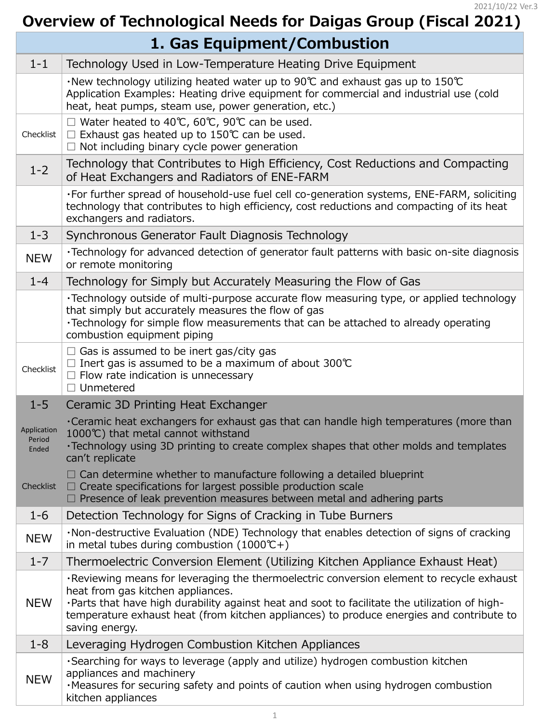| $1 - 6$    | Detection Technology for Signs of Cracking in Tube Burners                                                                                                                                                                                                                                                                                     |
|------------|------------------------------------------------------------------------------------------------------------------------------------------------------------------------------------------------------------------------------------------------------------------------------------------------------------------------------------------------|
| <b>NEW</b> | ·Non-destructive Evaluation (NDE) Technology that enables detection of signs of cracking<br>in metal tubes during combustion $(1000^{\circ}C+)$                                                                                                                                                                                                |
| $1 - 7$    | Thermoelectric Conversion Element (Utilizing Kitchen Appliance Exhaust Heat)                                                                                                                                                                                                                                                                   |
| <b>NEW</b> | . Reviewing means for leveraging the thermoelectric conversion element to recycle exhaust<br>heat from gas kitchen appliances.<br>. Parts that have high durability against heat and soot to facilitate the utilization of high-<br>temperature exhaust heat (from kitchen appliances) to produce energies and contribute to<br>saving energy. |
| $1 - 8$    | Leveraging Hydrogen Combustion Kitchen Appliances                                                                                                                                                                                                                                                                                              |
| <b>NEW</b> | . Searching for ways to leverage (apply and utilize) hydrogen combustion kitchen<br>appliances and machinery<br>. Measures for securing safety and points of caution when using hydrogen combustion<br>kitchen appliances                                                                                                                      |

## **Overview of Technological Needs for Daigas Group (Fiscal 2021)**

| 1. Gas Equipment/Combustion    |                                                                                                                                                                                                                                                                       |
|--------------------------------|-----------------------------------------------------------------------------------------------------------------------------------------------------------------------------------------------------------------------------------------------------------------------|
| $1 - 1$                        | Technology Used in Low-Temperature Heating Drive Equipment                                                                                                                                                                                                            |
|                                | $\cdot$ New technology utilizing heated water up to 90°C and exhaust gas up to 150°C<br>Application Examples: Heating drive equipment for commercial and industrial use (cold<br>heat, heat pumps, steam use, power generation, etc.)                                 |
| Checklist                      | $\Box$ Water heated to 40°C, 60°C, 90°C can be used.<br>$\Box$ Exhaust gas heated up to 150°C can be used.<br>$\Box$ Not including binary cycle power generation                                                                                                      |
| $1 - 2$                        | Technology that Contributes to High Efficiency, Cost Reductions and Compacting<br>of Heat Exchangers and Radiators of ENE-FARM                                                                                                                                        |
|                                | . For further spread of household-use fuel cell co-generation systems, ENE-FARM, soliciting<br>technology that contributes to high efficiency, cost reductions and compacting of its heat<br>exchangers and radiators.                                                |
| $1 - 3$                        | Synchronous Generator Fault Diagnosis Technology                                                                                                                                                                                                                      |
| <b>NEW</b>                     | ·Technology for advanced detection of generator fault patterns with basic on-site diagnosis<br>or remote monitoring                                                                                                                                                   |
| $1 - 4$                        | Technology for Simply but Accurately Measuring the Flow of Gas                                                                                                                                                                                                        |
|                                | • Technology outside of multi-purpose accurate flow measuring type, or applied technology<br>that simply but accurately measures the flow of gas<br>•Technology for simple flow measurements that can be attached to already operating<br>combustion equipment piping |
| Checklist                      | $\Box$ Gas is assumed to be inert gas/city gas<br>$\Box$ Inert gas is assumed to be a maximum of about 300°C<br>$\Box$ Flow rate indication is unnecessary<br>Unmetered                                                                                               |
| $1 - 5$                        | Ceramic 3D Printing Heat Exchanger                                                                                                                                                                                                                                    |
| Application<br>Period<br>Ended | •Ceramic heat exchangers for exhaust gas that can handle high temperatures (more than<br>1000℃) that metal cannot withstand<br>$\cdot$ Technology using 3D printing to create complex shapes that other molds and templates<br>can't replicate                        |
| Checklist                      | $\Box$ Can determine whether to manufacture following a detailed blueprint<br>$\Box$ Create specifications for largest possible production scale<br>$\Box$ Presence of leak prevention measures between metal and adhering parts                                      |

2021/10/22 Ver.3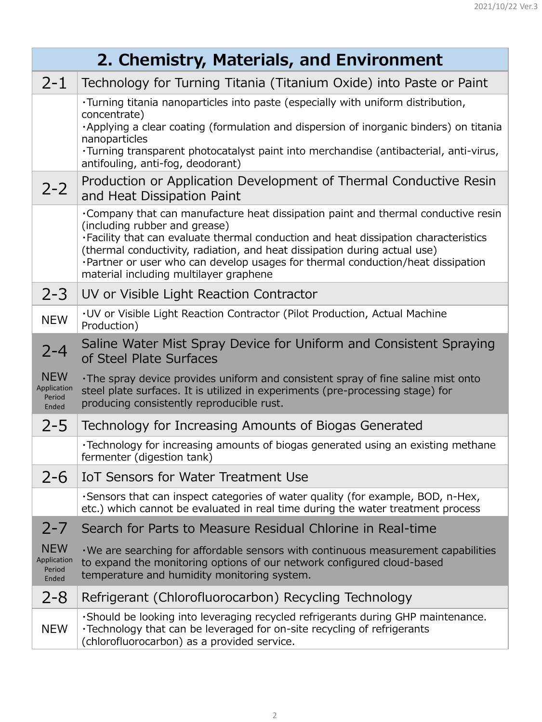|                                              | 2. Chemistry, Materials, and Environment                                                                                                                                                                                                                                                                                                                                                                               |  |
|----------------------------------------------|------------------------------------------------------------------------------------------------------------------------------------------------------------------------------------------------------------------------------------------------------------------------------------------------------------------------------------------------------------------------------------------------------------------------|--|
| $2 - 1$                                      | Technology for Turning Titania (Titanium Oxide) into Paste or Paint                                                                                                                                                                                                                                                                                                                                                    |  |
|                                              | . Turning titania nanoparticles into paste (especially with uniform distribution,<br>concentrate)<br>. Applying a clear coating (formulation and dispersion of inorganic binders) on titania<br>nanoparticles<br>·Turning transparent photocatalyst paint into merchandise (antibacterial, anti-virus,<br>antifouling, anti-fog, deodorant)                                                                            |  |
| $2 - 2$                                      | Production or Application Development of Thermal Conductive Resin<br>and Heat Dissipation Paint                                                                                                                                                                                                                                                                                                                        |  |
|                                              | . Company that can manufacture heat dissipation paint and thermal conductive resin<br>(including rubber and grease)<br>. Facility that can evaluate thermal conduction and heat dissipation characteristics<br>(thermal conductivity, radiation, and heat dissipation during actual use)<br>. Partner or user who can develop usages for thermal conduction/heat dissipation<br>material including multilayer graphene |  |
| $2 - 3$                                      | UV or Visible Light Reaction Contractor                                                                                                                                                                                                                                                                                                                                                                                |  |
| <b>NEW</b>                                   | . UV or Visible Light Reaction Contractor (Pilot Production, Actual Machine<br>Production)                                                                                                                                                                                                                                                                                                                             |  |
| $2 - 4$                                      | Saline Water Mist Spray Device for Uniform and Consistent Spraying<br>of Steel Plate Surfaces                                                                                                                                                                                                                                                                                                                          |  |
| <b>NEW</b><br>Application<br>Period<br>Ended | $\cdot$ The spray device provides uniform and consistent spray of fine saline mist onto<br>steel plate surfaces. It is utilized in experiments (pre-processing stage) for<br>producing consistently reproducible rust.                                                                                                                                                                                                 |  |
| $2 - 5$                                      | Technology for Increasing Amounts of Biogas Generated                                                                                                                                                                                                                                                                                                                                                                  |  |
|                                              | •Technology for increasing amounts of biogas generated using an existing methane<br>fermenter (digestion tank)                                                                                                                                                                                                                                                                                                         |  |
| $2 - 6$                                      | IoT Sensors for Water Treatment Use                                                                                                                                                                                                                                                                                                                                                                                    |  |
|                                              | . Sensors that can inspect categories of water quality (for example, BOD, n-Hex,                                                                                                                                                                                                                                                                                                                                       |  |

etc.) which cannot be evaluated in real time during the water treatment process

## 2-7 Search for Parts to Measure Residual Chlorine in Real-time

NEW Application Period Ended ・We are searching for affordable sensors with continuous measurement capabilities to expand the monitoring options of our network configured cloud-based temperature and humidity monitoring system.

2-8 | Refrigerant (Chlorofluorocarbon) Recycling Technology

NEW ・Should be looking into leveraging recycled refrigerants during GHP maintenance. ・Technology that can be leveraged for on-site recycling of refrigerants (chlorofluorocarbon) as a provided service.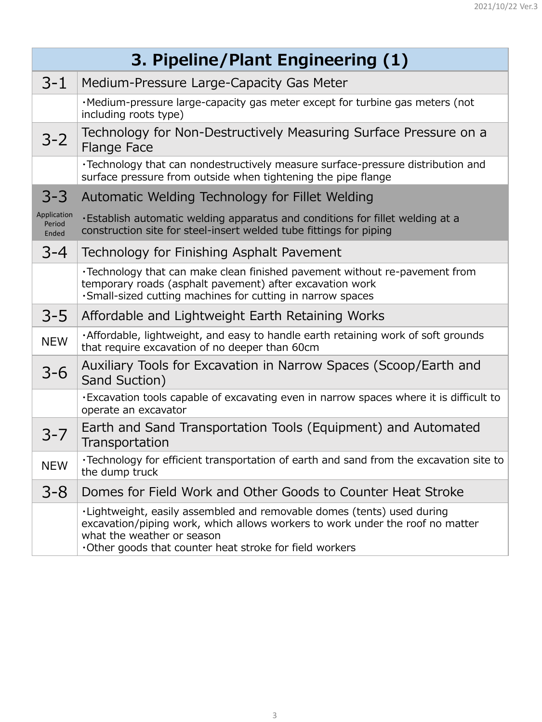| 3. Pipeline/Plant Engineering (1) |                                                                                                                                                                                                       |
|-----------------------------------|-------------------------------------------------------------------------------------------------------------------------------------------------------------------------------------------------------|
| $3 - 1$                           | Medium-Pressure Large-Capacity Gas Meter                                                                                                                                                              |
|                                   | ·Medium-pressure large-capacity gas meter except for turbine gas meters (not<br>including roots type)                                                                                                 |
| $3 - 2$                           | Technology for Non-Destructively Measuring Surface Pressure on a<br><b>Flange Face</b>                                                                                                                |
|                                   | •Technology that can nondestructively measure surface-pressure distribution and<br>surface pressure from outside when tightening the pipe flange                                                      |
| $3 - 3$                           | Automatic Welding Technology for Fillet Welding                                                                                                                                                       |
| Application<br>Period<br>Ended    | . Establish automatic welding apparatus and conditions for fillet welding at a<br>construction site for steel-insert welded tube fittings for piping                                                  |
| $3 - 4$                           | Technology for Finishing Asphalt Pavement                                                                                                                                                             |
|                                   | . Technology that can make clean finished pavement without re-pavement from<br>temporary roads (asphalt pavement) after excavation work<br>·Small-sized cutting machines for cutting in narrow spaces |
| $3 - 5$                           | Affordable and Lightweight Earth Retaining Works                                                                                                                                                      |
| <b>NEW</b>                        | . Affordable, lightweight, and easy to handle earth retaining work of soft grounds<br>that require excavation of no deeper than 60cm                                                                  |
| $3 - 6$                           | Auxiliary Tools for Excavation in Narrow Spaces (Scoop/Earth and<br>Sand Suction)                                                                                                                     |
|                                   | $\cdot$ Excavation tools capable of excavating even in narrow spaces where it is difficult to<br>operate an excavator                                                                                 |
| $3 - 7$                           | Earth and Sand Transportation Tools (Equipment) and Automated<br>Transportation                                                                                                                       |
| <b>NEW</b>                        | $\cdot$ Technology for efficient transportation of earth and sand from the excavation site to<br>the dump truck                                                                                       |
| $3 - 8$                           | Domes for Field Work and Other Goods to Counter Heat Stroke                                                                                                                                           |

・Lightweight, easily assembled and removable domes (tents) used during excavation/piping work, which allows workers to work under the roof no matter what the weather or season ・Other goods that counter heat stroke for field workers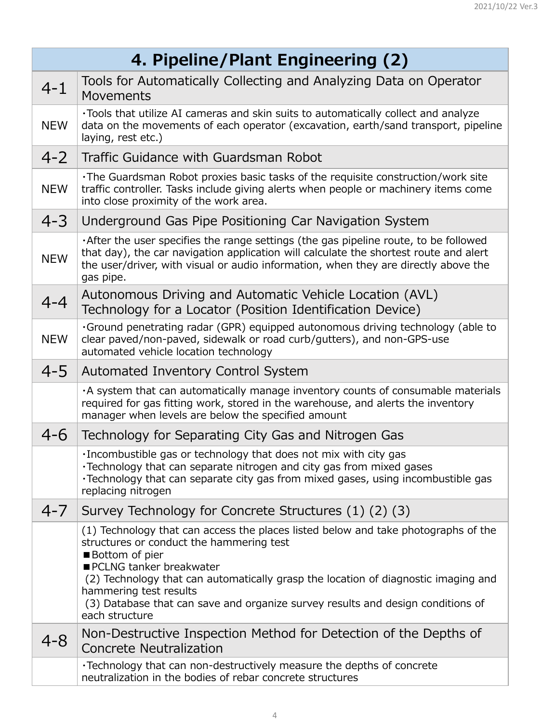| 4. Pipeline/Plant Engineering (2) |                                                                                                                                                                                                                                                                                                                                                                                                  |
|-----------------------------------|--------------------------------------------------------------------------------------------------------------------------------------------------------------------------------------------------------------------------------------------------------------------------------------------------------------------------------------------------------------------------------------------------|
| $4 - 1$                           | Tools for Automatically Collecting and Analyzing Data on Operator<br><b>Movements</b>                                                                                                                                                                                                                                                                                                            |
| <b>NEW</b>                        | •Tools that utilize AI cameras and skin suits to automatically collect and analyze<br>data on the movements of each operator (excavation, earth/sand transport, pipeline<br>laying, rest etc.)                                                                                                                                                                                                   |
| $4 - 2$                           | Traffic Guidance with Guardsman Robot                                                                                                                                                                                                                                                                                                                                                            |
| <b>NEW</b>                        | . The Guardsman Robot proxies basic tasks of the requisite construction/work site<br>traffic controller. Tasks include giving alerts when people or machinery items come<br>into close proximity of the work area.                                                                                                                                                                               |
| $4 - 3$                           | Underground Gas Pipe Positioning Car Navigation System                                                                                                                                                                                                                                                                                                                                           |
| <b>NEW</b>                        | . After the user specifies the range settings (the gas pipeline route, to be followed<br>that day), the car navigation application will calculate the shortest route and alert<br>the user/driver, with visual or audio information, when they are directly above the<br>gas pipe.                                                                                                               |
| $4 - 4$                           | Autonomous Driving and Automatic Vehicle Location (AVL)<br>Technology for a Locator (Position Identification Device)                                                                                                                                                                                                                                                                             |
| <b>NEW</b>                        | . Ground penetrating radar (GPR) equipped autonomous driving technology (able to<br>clear paved/non-paved, sidewalk or road curb/gutters), and non-GPS-use<br>automated vehicle location technology                                                                                                                                                                                              |
| $4 - 5$                           | <b>Automated Inventory Control System</b>                                                                                                                                                                                                                                                                                                                                                        |
|                                   | A system that can automatically manage inventory counts of consumable materials<br>required for gas fitting work, stored in the warehouse, and alerts the inventory<br>manager when levels are below the specified amount                                                                                                                                                                        |
| $4 - 6$                           | Technology for Separating City Gas and Nitrogen Gas                                                                                                                                                                                                                                                                                                                                              |
|                                   | . Incombustible gas or technology that does not mix with city gas<br>•Technology that can separate nitrogen and city gas from mixed gases<br>•Technology that can separate city gas from mixed gases, using incombustible gas<br>replacing nitrogen                                                                                                                                              |
| $4 - 7$                           | Survey Technology for Concrete Structures (1) (2) (3)                                                                                                                                                                                                                                                                                                                                            |
|                                   | (1) Technology that can access the places listed below and take photographs of the<br>structures or conduct the hammering test<br>Bottom of pier<br>PCLNG tanker breakwater<br>(2) Technology that can automatically grasp the location of diagnostic imaging and<br>hammering test results<br>(3) Database that can save and organize survey results and design conditions of<br>each structure |
| $4 - 8$                           | Non-Destructive Inspection Method for Detection of the Depths of<br><b>Concrete Neutralization</b>                                                                                                                                                                                                                                                                                               |
|                                   | $\cdot$ Technology that can non-destructively measure the depths of concrete<br>neutralization in the bodies of rebar concrete structures                                                                                                                                                                                                                                                        |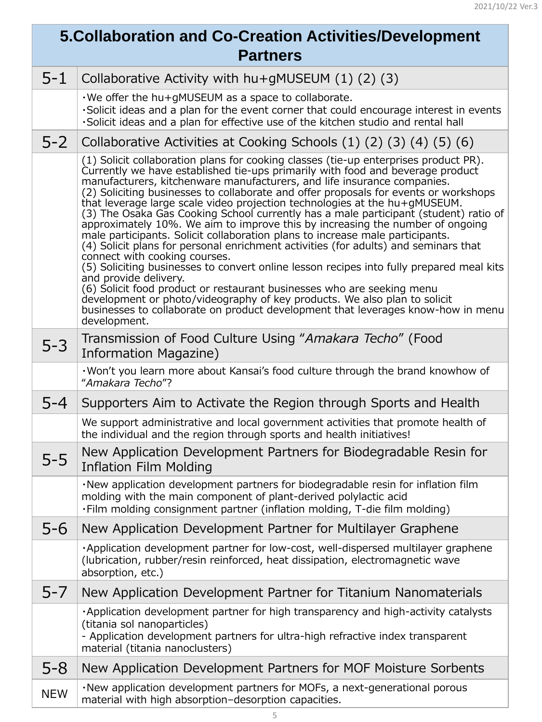## **5.Collaboration and Co-Creation Activities/Development Partners**

| $5 - 1$    | Collaborative Activity with $hu+gMUSEUM(1)(2)(3)$                                                                                                                                                                                                                                                                                                                                                                                                                                                                                                                                                                                                                                                                                                                                                                                                                                                                                                                                                                                                                                                                                                                                         |
|------------|-------------------------------------------------------------------------------------------------------------------------------------------------------------------------------------------------------------------------------------------------------------------------------------------------------------------------------------------------------------------------------------------------------------------------------------------------------------------------------------------------------------------------------------------------------------------------------------------------------------------------------------------------------------------------------------------------------------------------------------------------------------------------------------------------------------------------------------------------------------------------------------------------------------------------------------------------------------------------------------------------------------------------------------------------------------------------------------------------------------------------------------------------------------------------------------------|
|            | $\cdot$ We offer the hu+gMUSEUM as a space to collaborate.<br>. Solicit ideas and a plan for the event corner that could encourage interest in events<br>. Solicit ideas and a plan for effective use of the kitchen studio and rental hall                                                                                                                                                                                                                                                                                                                                                                                                                                                                                                                                                                                                                                                                                                                                                                                                                                                                                                                                               |
| $5-2$      | Collaborative Activities at Cooking Schools (1) (2) (3) (4) (5) (6)                                                                                                                                                                                                                                                                                                                                                                                                                                                                                                                                                                                                                                                                                                                                                                                                                                                                                                                                                                                                                                                                                                                       |
|            | (1) Solicit collaboration plans for cooking classes (tie-up enterprises product PR).<br>Currently we have established tie-ups primarily with food and beverage product<br>manufacturers, kitchenware manufacturers, and life insurance companies.<br>(2) Soliciting businesses to collaborate and offer proposals for events or workshops<br>that leverage large scale video projection technologies at the hu+gMUSEUM.<br>(3) The Osaka Gas Cooking School currently has a male participant (student) ratio of<br>approximately 10%. We aim to improve this by increasing the number of ongoing<br>male participants. Solicit collaboration plans to increase male participants.<br>(4) Solicit plans for personal enrichment activities (for adults) and seminars that<br>connect with cooking courses.<br>(5) Soliciting businesses to convert online lesson recipes into fully prepared meal kits<br>and provide delivery.<br>(6) Solicit food product or restaurant businesses who are seeking menu<br>development or photo/videography of key products. We also plan to solicit<br>businesses to collaborate on product development that leverages know-how in menu<br>development. |
| $5 - 3$    | Transmission of Food Culture Using "Amakara Techo" (Food<br>Information Magazine)                                                                                                                                                                                                                                                                                                                                                                                                                                                                                                                                                                                                                                                                                                                                                                                                                                                                                                                                                                                                                                                                                                         |
|            | . Won't you learn more about Kansai's food culture through the brand knowhow of<br>"Amakara Techo"?                                                                                                                                                                                                                                                                                                                                                                                                                                                                                                                                                                                                                                                                                                                                                                                                                                                                                                                                                                                                                                                                                       |
| $5 - 4$    | Supporters Aim to Activate the Region through Sports and Health                                                                                                                                                                                                                                                                                                                                                                                                                                                                                                                                                                                                                                                                                                                                                                                                                                                                                                                                                                                                                                                                                                                           |
|            | We support administrative and local government activities that promote health of<br>the individual and the region through sports and health initiatives!                                                                                                                                                                                                                                                                                                                                                                                                                                                                                                                                                                                                                                                                                                                                                                                                                                                                                                                                                                                                                                  |
| $5 - 5$    | New Application Development Partners for Biodegradable Resin for<br><b>Inflation Film Molding</b>                                                                                                                                                                                                                                                                                                                                                                                                                                                                                                                                                                                                                                                                                                                                                                                                                                                                                                                                                                                                                                                                                         |
|            | . New application development partners for biodegradable resin for inflation film<br>molding with the main component of plant-derived polylactic acid<br>. Film molding consignment partner (inflation molding, T-die film molding)                                                                                                                                                                                                                                                                                                                                                                                                                                                                                                                                                                                                                                                                                                                                                                                                                                                                                                                                                       |
| $5 - 6$    | New Application Development Partner for Multilayer Graphene                                                                                                                                                                                                                                                                                                                                                                                                                                                                                                                                                                                                                                                                                                                                                                                                                                                                                                                                                                                                                                                                                                                               |
|            | . Application development partner for low-cost, well-dispersed multilayer graphene<br>(lubrication, rubber/resin reinforced, heat dissipation, electromagnetic wave<br>absorption, etc.)                                                                                                                                                                                                                                                                                                                                                                                                                                                                                                                                                                                                                                                                                                                                                                                                                                                                                                                                                                                                  |
| $5 - 7$    | New Application Development Partner for Titanium Nanomaterials                                                                                                                                                                                                                                                                                                                                                                                                                                                                                                                                                                                                                                                                                                                                                                                                                                                                                                                                                                                                                                                                                                                            |
|            | . Application development partner for high transparency and high-activity catalysts<br>(titania sol nanoparticles)<br>- Application development partners for ultra-high refractive index transparent<br>material (titania nanoclusters)                                                                                                                                                                                                                                                                                                                                                                                                                                                                                                                                                                                                                                                                                                                                                                                                                                                                                                                                                   |
| $5 - 8$    | New Application Development Partners for MOF Moisture Sorbents                                                                                                                                                                                                                                                                                                                                                                                                                                                                                                                                                                                                                                                                                                                                                                                                                                                                                                                                                                                                                                                                                                                            |
| <b>NEW</b> | ·New application development partners for MOFs, a next-generational porous<br>material with high absorption-desorption capacities.                                                                                                                                                                                                                                                                                                                                                                                                                                                                                                                                                                                                                                                                                                                                                                                                                                                                                                                                                                                                                                                        |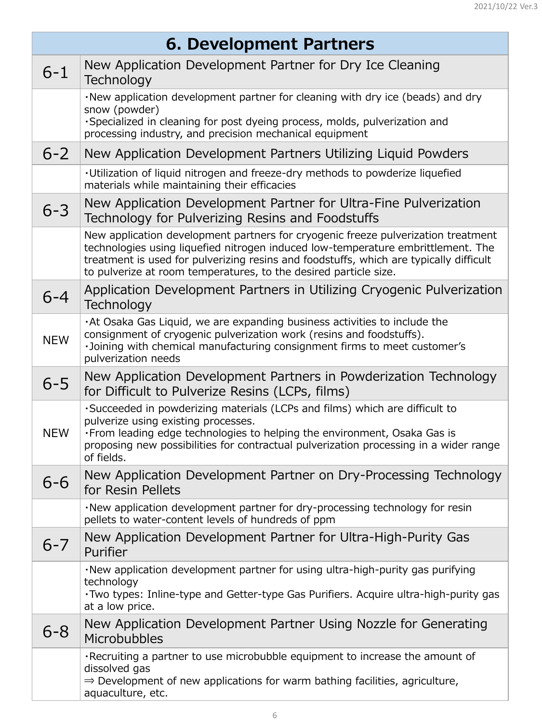| 6. Development Partners |                                                                                                                                                                                                                                                                                                                                     |
|-------------------------|-------------------------------------------------------------------------------------------------------------------------------------------------------------------------------------------------------------------------------------------------------------------------------------------------------------------------------------|
| $6 - 1$                 | New Application Development Partner for Dry Ice Cleaning<br>Technology                                                                                                                                                                                                                                                              |
|                         | . New application development partner for cleaning with dry ice (beads) and dry<br>snow (powder)                                                                                                                                                                                                                                    |
|                         | ·Specialized in cleaning for post dyeing process, molds, pulverization and<br>processing industry, and precision mechanical equipment                                                                                                                                                                                               |
| $6 - 2$                 | New Application Development Partners Utilizing Liquid Powders                                                                                                                                                                                                                                                                       |
|                         | . Utilization of liquid nitrogen and freeze-dry methods to powderize liquefied<br>materials while maintaining their efficacies                                                                                                                                                                                                      |
| $6 - 3$                 | New Application Development Partner for Ultra-Fine Pulverization<br>Technology for Pulverizing Resins and Foodstuffs                                                                                                                                                                                                                |
|                         | New application development partners for cryogenic freeze pulverization treatment<br>technologies using liquefied nitrogen induced low-temperature embrittlement. The<br>treatment is used for pulverizing resins and foodstuffs, which are typically difficult<br>to pulverize at room temperatures, to the desired particle size. |
| $6 - 4$                 | Application Development Partners in Utilizing Cryogenic Pulverization<br>Technology                                                                                                                                                                                                                                                 |
| <b>NEW</b>              | . At Osaka Gas Liquid, we are expanding business activities to include the<br>consignment of cryogenic pulverization work (resins and foodstuffs).<br>·Joining with chemical manufacturing consignment firms to meet customer's<br>pulverization needs                                                                              |
| $6 - 5$                 | New Application Development Partners in Powderization Technology<br>for Difficult to Pulverize Resins (LCPs, films)                                                                                                                                                                                                                 |
| <b>NEW</b>              | . Succeeded in powderizing materials (LCPs and films) which are difficult to<br>pulverize using existing processes.<br>. From leading edge technologies to helping the environment, Osaka Gas is<br>proposing new possibilities for contractual pulverization processing in a wider range<br>of fields.                             |
| $6 - 6$                 | New Application Development Partner on Dry-Processing Technology<br>for Resin Pellets                                                                                                                                                                                                                                               |
|                         |                                                                                                                                                                                                                                                                                                                                     |

|         | . New application development partner for dry-processing technology for resin<br>pellets to water-content levels of hundreds of ppm                                                                            |
|---------|----------------------------------------------------------------------------------------------------------------------------------------------------------------------------------------------------------------|
| $6 - 7$ | New Application Development Partner for Ultra-High-Purity Gas<br>Purifier                                                                                                                                      |
|         | ·New application development partner for using ultra-high-purity gas purifying<br>technology<br>. Two types: Inline-type and Getter-type Gas Purifiers. Acquire ultra-high-purity gas<br>at a low price.       |
| $6 - 8$ | New Application Development Partner Using Nozzle for Generating<br><b>Microbubbles</b>                                                                                                                         |
|         | . Recruiting a partner to use microbubble equipment to increase the amount of<br>dissolved gas<br>$\Rightarrow$ Development of new applications for warm bathing facilities, agriculture,<br>aquaculture, etc. |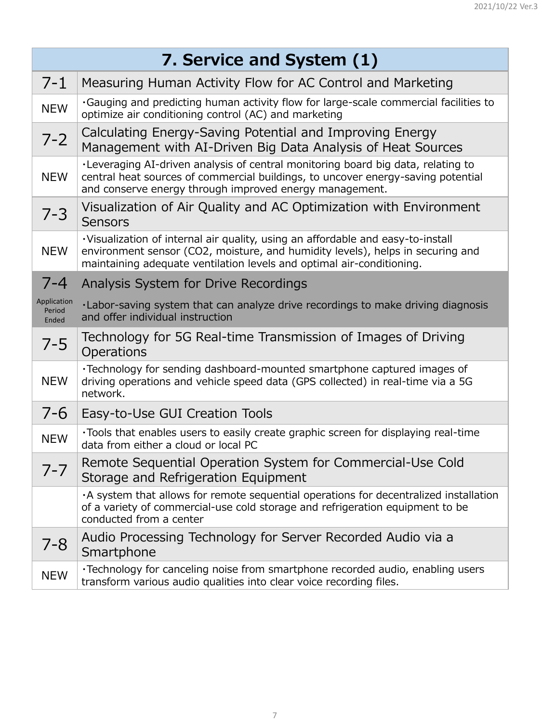| 7. Service and System (1)      |                                                                                                                                                                                                                                             |
|--------------------------------|---------------------------------------------------------------------------------------------------------------------------------------------------------------------------------------------------------------------------------------------|
| $7 - 1$                        | Measuring Human Activity Flow for AC Control and Marketing                                                                                                                                                                                  |
| <b>NEW</b>                     | . Gauging and predicting human activity flow for large-scale commercial facilities to<br>optimize air conditioning control (AC) and marketing                                                                                               |
| $7 - 2$                        | Calculating Energy-Saving Potential and Improving Energy<br>Management with AI-Driven Big Data Analysis of Heat Sources                                                                                                                     |
| <b>NEW</b>                     | . Leveraging AI-driven analysis of central monitoring board big data, relating to<br>central heat sources of commercial buildings, to uncover energy-saving potential<br>and conserve energy through improved energy management.            |
| $7 - 3$                        | Visualization of Air Quality and AC Optimization with Environment<br><b>Sensors</b>                                                                                                                                                         |
| <b>NEW</b>                     | · Visualization of internal air quality, using an affordable and easy-to-install<br>environment sensor (CO2, moisture, and humidity levels), helps in securing and<br>maintaining adequate ventilation levels and optimal air-conditioning. |
|                                | Analysis System for Drive Recordings                                                                                                                                                                                                        |
| Application<br>Period<br>Ended | . Labor-saving system that can analyze drive recordings to make driving diagnosis<br>and offer individual instruction                                                                                                                       |
| $7 - 5$                        | Technology for 5G Real-time Transmission of Images of Driving<br><b>Operations</b>                                                                                                                                                          |
| <b>NEW</b>                     | •Technology for sending dashboard-mounted smartphone captured images of<br>driving operations and vehicle speed data (GPS collected) in real-time via a 5G<br>network.                                                                      |
| $7 - 6$                        | Easy-to-Use GUI Creation Tools                                                                                                                                                                                                              |
| <b>NEW</b>                     | . Tools that enables users to easily create graphic screen for displaying real-time<br>data from either a cloud or local PC                                                                                                                 |
| $7 - 7$                        | Remote Sequential Operation System for Commercial-Use Cold<br>Storage and Refrigeration Equipment                                                                                                                                           |
|                                | A system that allows for remote sequential operations for decentralized installation<br>of a variety of commercial-use cold storage and refrigeration equipment to be<br>conducted from a center                                            |
| $7 - 8$                        | Audio Processing Technology for Server Recorded Audio via a<br>Smartphone                                                                                                                                                                   |
| <b>NEW</b>                     | •Technology for canceling noise from smartphone recorded audio, enabling users<br>transform various audio qualities into clear voice recording files.                                                                                       |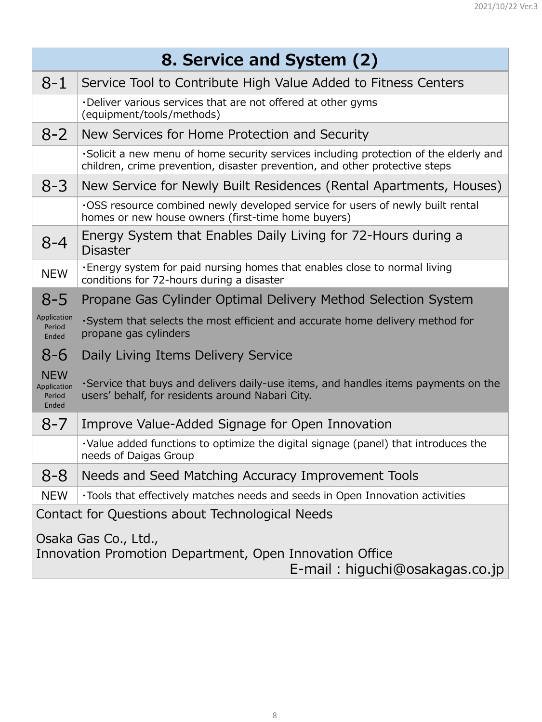|                                              | 8. Service and System (2)                                                                                                                                             |  |
|----------------------------------------------|-----------------------------------------------------------------------------------------------------------------------------------------------------------------------|--|
| $8 - 1$                                      | Service Tool to Contribute High Value Added to Fitness Centers                                                                                                        |  |
|                                              | . Deliver various services that are not offered at other gyms<br>(equipment/tools/methods)                                                                            |  |
| $8 - 2$                                      | New Services for Home Protection and Security                                                                                                                         |  |
|                                              | . Solicit a new menu of home security services including protection of the elderly and<br>children, crime prevention, disaster prevention, and other protective steps |  |
| $8 - 3$                                      | New Service for Newly Built Residences (Rental Apartments, Houses)                                                                                                    |  |
|                                              | .OSS resource combined newly developed service for users of newly built rental<br>homes or new house owners (first-time home buyers)                                  |  |
| $8 - 4$                                      | Energy System that Enables Daily Living for 72-Hours during a<br><b>Disaster</b>                                                                                      |  |
| <b>NEW</b>                                   | . Energy system for paid nursing homes that enables close to normal living<br>conditions for 72-hours during a disaster                                               |  |
| $O-D$                                        | Propane Gas Cylinder Optimal Delivery Method Selection System                                                                                                         |  |
| Application<br>Period<br>Ended               | ·System that selects the most efficient and accurate home delivery method for<br>propane gas cylinders                                                                |  |
| $8 - 6$                                      | Daily Living Items Delivery Service                                                                                                                                   |  |
| <b>NEW</b><br>Application<br>Period<br>Ended | . Service that buys and delivers daily-use items, and handles items payments on the<br>users' behalf, for residents around Nabari City.                               |  |
| $8 - 7$                                      | Improve Value-Added Signage for Open Innovation                                                                                                                       |  |
|                                              | $\cdot$ Value added functions to optimize the digital signage (panel) that introduces the<br>needs of Daigas Group                                                    |  |
| $8 - 8$                                      | Needs and Seed Matching Accuracy Improvement Tools                                                                                                                    |  |
| <b>NEW</b>                                   | . Tools that effectively matches needs and seeds in Open Innovation activities                                                                                        |  |

## Osaka Gas Co., Ltd., Innovation Promotion Department, Open Innovation Office E-mail: [higuchi@osakagas.co.jp](mailto:higuchi@osakagas.co.jp)

Contact for Questions about Technological Needs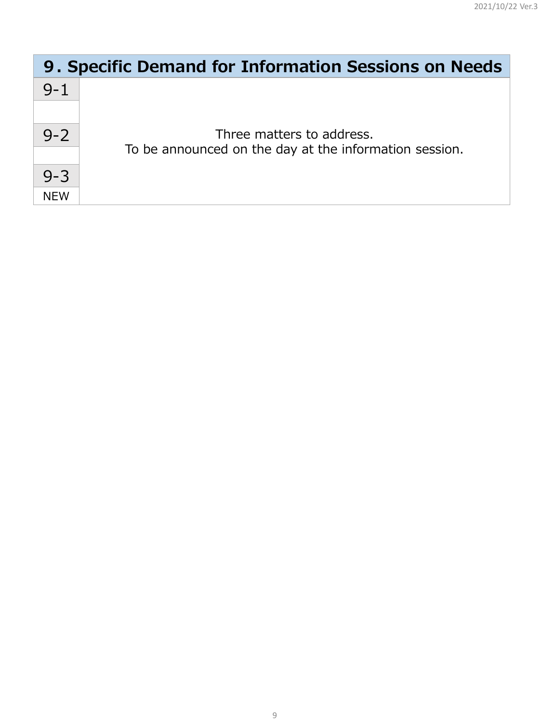| 9. Specific Demand for Information Sessions on Needs |                                                        |
|------------------------------------------------------|--------------------------------------------------------|
| $9 - 1$                                              |                                                        |
|                                                      |                                                        |
| $9 - 2$                                              | Three matters to address.                              |
|                                                      | To be announced on the day at the information session. |
| $9 - 3$                                              |                                                        |
| <b>NEW</b>                                           |                                                        |